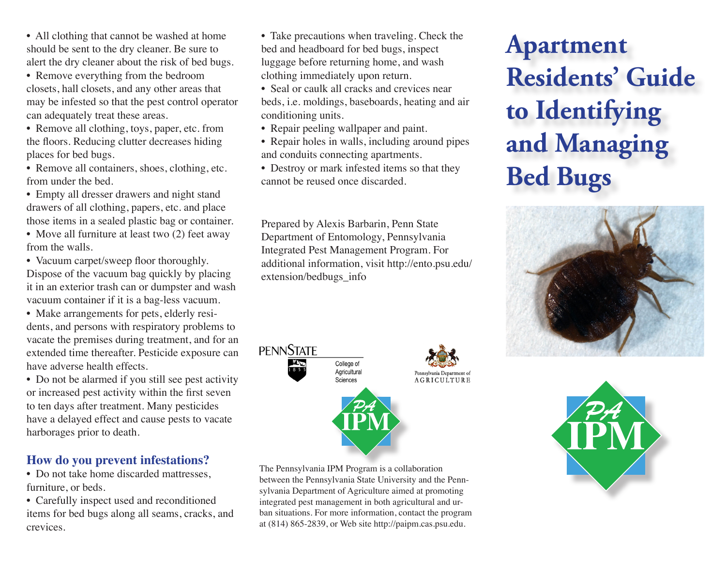• All clothing that cannot be washed at home should be sent to the dry cleaner. Be sure to alert the dry cleaner about the risk of bed bugs.

• Remove everything from the bedroom closets, hall closets, and any other areas that may be infested so that the pest control operator can adequately treat these areas.

• Remove all clothing, toys, paper, etc. from the floors. Reducing clutter decreases hiding places for bed bugs.

• Remove all containers, shoes, clothing, etc. from under the bed.

- Empty all dresser drawers and night stand drawers of all clothing, papers, etc. and place those items in a sealed plastic bag or container.
- Move all furniture at least two (2) feet away from the walls.

• Vacuum carpet/sweep floor thoroughly.

Dispose of the vacuum bag quickly by placing it in an exterior trash can or dumpster and wash vacuum container if it is a bag-less vacuum.

• Make arrangements for pets, elderly residents, and persons with respiratory problems to vacate the premises during treatment, and for an extended time thereafter. Pesticide exposure can have adverse health effects.

• Do not be alarmed if you still see pest activity or increased pest activity within the first seven to ten days after treatment. Many pesticides have a delayed effect and cause pests to vacate harborages prior to death.

## **How do you prevent infestations?**

• Do not take home discarded mattresses, furniture, or beds.

• Carefully inspect used and reconditioned items for bed bugs along all seams, cracks, and crevices.

- Take precautions when traveling. Check the bed and headboard for bed bugs, inspect luggage before returning home, and wash clothing immediately upon return.
- Seal or caulk all cracks and crevices near beds, i.e. moldings, baseboards, heating and air conditioning units.
- Repair peeling wallpaper and paint.
- Repair holes in walls, including around pipes and conduits connecting apartments.
- Destroy or mark infested items so that they cannot be reused once discarded.

Prepared by Alexis Barbarin, Penn State Department of Entomology, Pennsylvania Integrated Pest Management Program. For additional information, visit http://ento.psu.edu/ extension/bedbugs\_info



The Pennsylvania IPM Program is a collaboration between the Pennsylvania State University and the Pennsylvania Department of Agriculture aimed at promoting integrated pest management in both agricultural and urban situations. For more information, contact the program at (814) 865-2839, or Web site http://paipm.cas.psu.edu.

# **Apartment Residents' Guide to Identifying and Managing Bed Bugs**